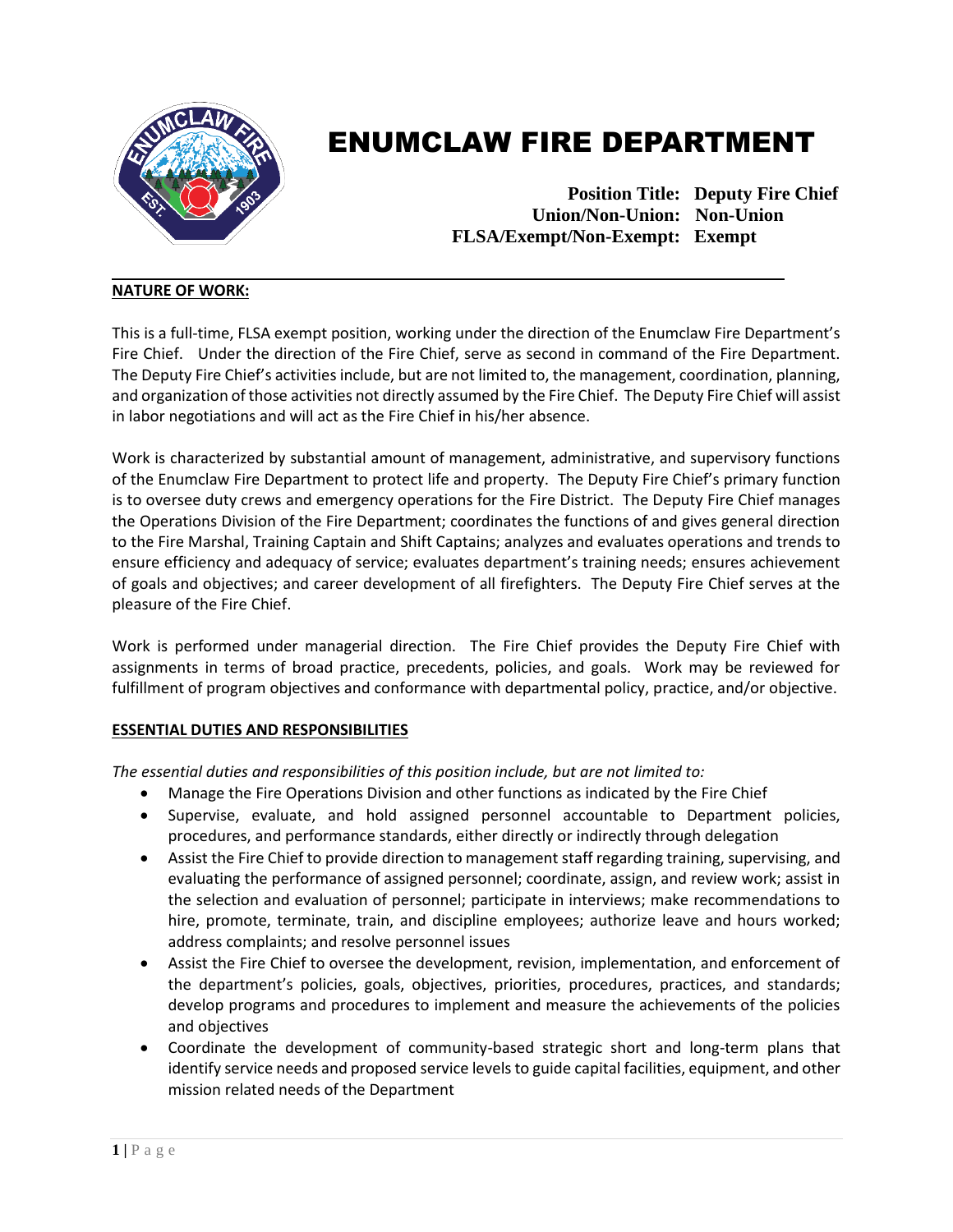

# ENUMCLAW FIRE DEPARTMENT

 **Position Title: Deputy Fire Chief Union/Non-Union: Non-Union FLSA/Exempt/Non-Exempt: Exempt**

# **NATURE OF WORK:**

This is a full-time, FLSA exempt position, working under the direction of the Enumclaw Fire Department's Fire Chief. Under the direction of the Fire Chief, serve as second in command of the Fire Department. The Deputy Fire Chief's activities include, but are not limited to, the management, coordination, planning, and organization of those activities not directly assumed by the Fire Chief. The Deputy Fire Chief will assist in labor negotiations and will act as the Fire Chief in his/her absence.

Work is characterized by substantial amount of management, administrative, and supervisory functions of the Enumclaw Fire Department to protect life and property. The Deputy Fire Chief's primary function is to oversee duty crews and emergency operations for the Fire District. The Deputy Fire Chief manages the Operations Division of the Fire Department; coordinates the functions of and gives general direction to the Fire Marshal, Training Captain and Shift Captains; analyzes and evaluates operations and trends to ensure efficiency and adequacy of service; evaluates department's training needs; ensures achievement of goals and objectives; and career development of all firefighters. The Deputy Fire Chief serves at the pleasure of the Fire Chief.

Work is performed under managerial direction. The Fire Chief provides the Deputy Fire Chief with assignments in terms of broad practice, precedents, policies, and goals. Work may be reviewed for fulfillment of program objectives and conformance with departmental policy, practice, and/or objective.

## **ESSENTIAL DUTIES AND RESPONSIBILITIES**

*The essential duties and responsibilities of this position include, but are not limited to:* 

- Manage the Fire Operations Division and other functions as indicated by the Fire Chief
- Supervise, evaluate, and hold assigned personnel accountable to Department policies, procedures, and performance standards, either directly or indirectly through delegation
- Assist the Fire Chief to provide direction to management staff regarding training, supervising, and evaluating the performance of assigned personnel; coordinate, assign, and review work; assist in the selection and evaluation of personnel; participate in interviews; make recommendations to hire, promote, terminate, train, and discipline employees; authorize leave and hours worked; address complaints; and resolve personnel issues
- Assist the Fire Chief to oversee the development, revision, implementation, and enforcement of the department's policies, goals, objectives, priorities, procedures, practices, and standards; develop programs and procedures to implement and measure the achievements of the policies and objectives
- Coordinate the development of community-based strategic short and long-term plans that identify service needs and proposed service levels to guide capital facilities, equipment, and other mission related needs of the Department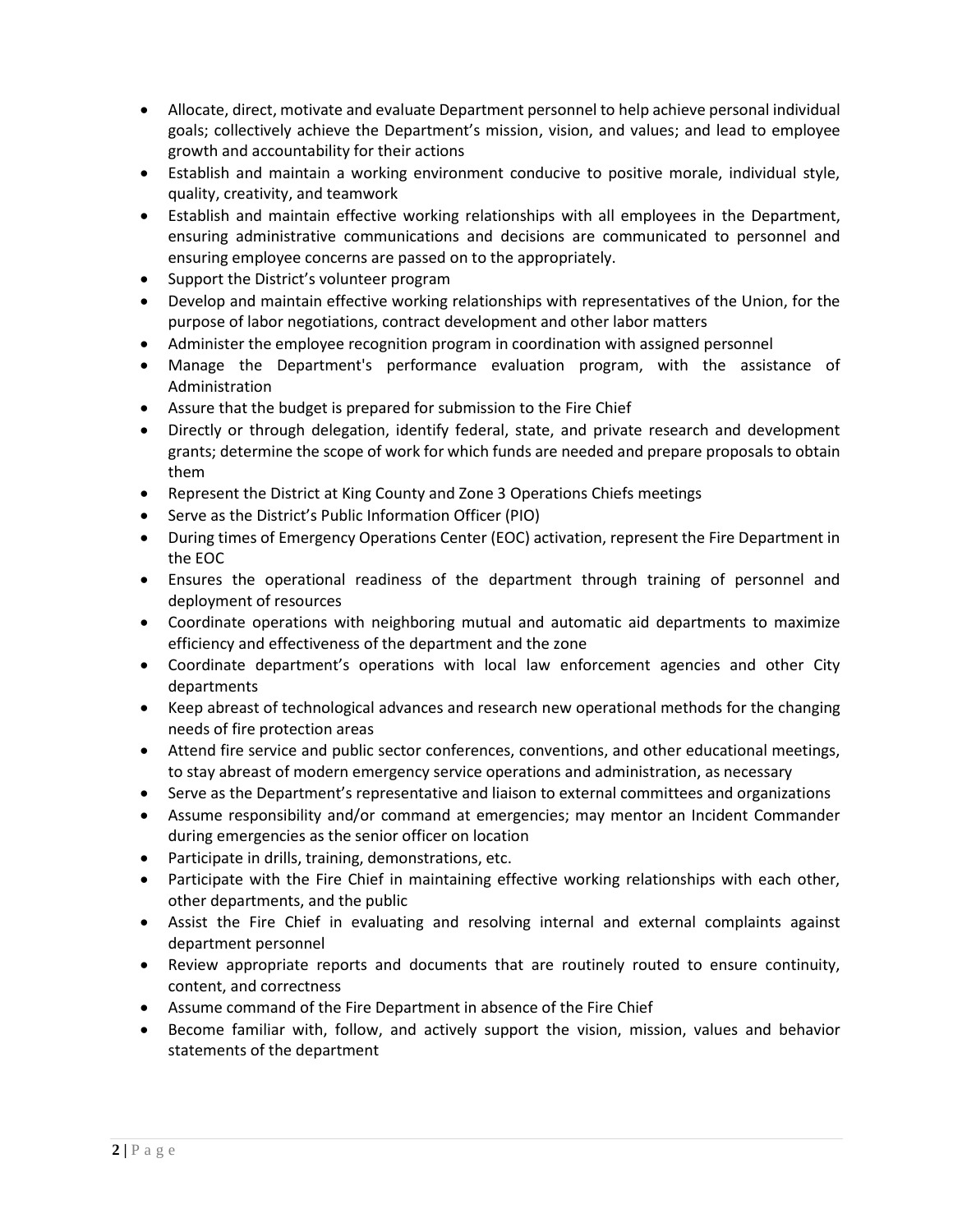- Allocate, direct, motivate and evaluate Department personnel to help achieve personal individual goals; collectively achieve the Department's mission, vision, and values; and lead to employee growth and accountability for their actions
- Establish and maintain a working environment conducive to positive morale, individual style, quality, creativity, and teamwork
- Establish and maintain effective working relationships with all employees in the Department, ensuring administrative communications and decisions are communicated to personnel and ensuring employee concerns are passed on to the appropriately.
- Support the District's volunteer program
- Develop and maintain effective working relationships with representatives of the Union, for the purpose of labor negotiations, contract development and other labor matters
- Administer the employee recognition program in coordination with assigned personnel
- Manage the Department's performance evaluation program, with the assistance of Administration
- Assure that the budget is prepared for submission to the Fire Chief
- Directly or through delegation, identify federal, state, and private research and development grants; determine the scope of work for which funds are needed and prepare proposals to obtain them
- Represent the District at King County and Zone 3 Operations Chiefs meetings
- Serve as the District's Public Information Officer (PIO)
- During times of Emergency Operations Center (EOC) activation, represent the Fire Department in the EOC
- Ensures the operational readiness of the department through training of personnel and deployment of resources
- Coordinate operations with neighboring mutual and automatic aid departments to maximize efficiency and effectiveness of the department and the zone
- Coordinate department's operations with local law enforcement agencies and other City departments
- Keep abreast of technological advances and research new operational methods for the changing needs of fire protection areas
- Attend fire service and public sector conferences, conventions, and other educational meetings, to stay abreast of modern emergency service operations and administration, as necessary
- Serve as the Department's representative and liaison to external committees and organizations
- Assume responsibility and/or command at emergencies; may mentor an Incident Commander during emergencies as the senior officer on location
- Participate in drills, training, demonstrations, etc.
- Participate with the Fire Chief in maintaining effective working relationships with each other, other departments, and the public
- Assist the Fire Chief in evaluating and resolving internal and external complaints against department personnel
- Review appropriate reports and documents that are routinely routed to ensure continuity, content, and correctness
- Assume command of the Fire Department in absence of the Fire Chief
- Become familiar with, follow, and actively support the vision, mission, values and behavior statements of the department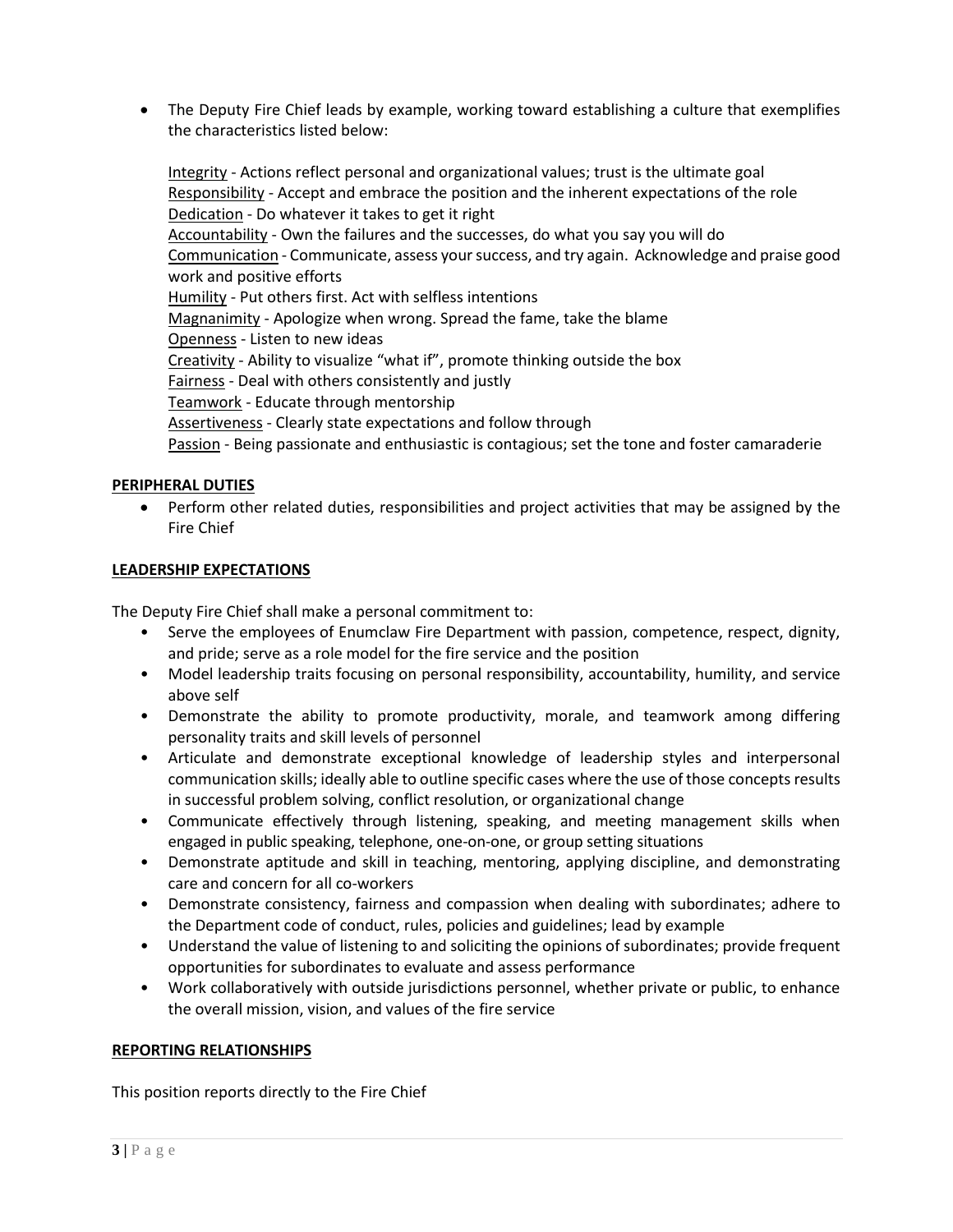• The Deputy Fire Chief leads by example, working toward establishing a culture that exemplifies the characteristics listed below:

Integrity - Actions reflect personal and organizational values; trust is the ultimate goal Responsibility - Accept and embrace the position and the inherent expectations of the role Dedication - Do whatever it takes to get it right Accountability - Own the failures and the successes, do what you say you will do Communication - Communicate, assess your success, and try again. Acknowledge and praise good work and positive efforts Humility - Put others first. Act with selfless intentions Magnanimity - Apologize when wrong. Spread the fame, take the blame Openness - Listen to new ideas Creativity - Ability to visualize "what if", promote thinking outside the box Fairness - Deal with others consistently and justly Teamwork - Educate through mentorship Assertiveness - Clearly state expectations and follow through Passion - Being passionate and enthusiastic is contagious; set the tone and foster camaraderie

## **PERIPHERAL DUTIES**

• Perform other related duties, responsibilities and project activities that may be assigned by the Fire Chief

## **LEADERSHIP EXPECTATIONS**

The Deputy Fire Chief shall make a personal commitment to:

- Serve the employees of Enumclaw Fire Department with passion, competence, respect, dignity, and pride; serve as a role model for the fire service and the position
- Model leadership traits focusing on personal responsibility, accountability, humility, and service above self
- Demonstrate the ability to promote productivity, morale, and teamwork among differing personality traits and skill levels of personnel
- Articulate and demonstrate exceptional knowledge of leadership styles and interpersonal communication skills; ideally able to outline specific cases where the use of those concepts results in successful problem solving, conflict resolution, or organizational change
- Communicate effectively through listening, speaking, and meeting management skills when engaged in public speaking, telephone, one-on-one, or group setting situations
- Demonstrate aptitude and skill in teaching, mentoring, applying discipline, and demonstrating care and concern for all co-workers
- Demonstrate consistency, fairness and compassion when dealing with subordinates; adhere to the Department code of conduct, rules, policies and guidelines; lead by example
- Understand the value of listening to and soliciting the opinions of subordinates; provide frequent opportunities for subordinates to evaluate and assess performance
- Work collaboratively with outside jurisdictions personnel, whether private or public, to enhance the overall mission, vision, and values of the fire service

## **REPORTING RELATIONSHIPS**

This position reports directly to the Fire Chief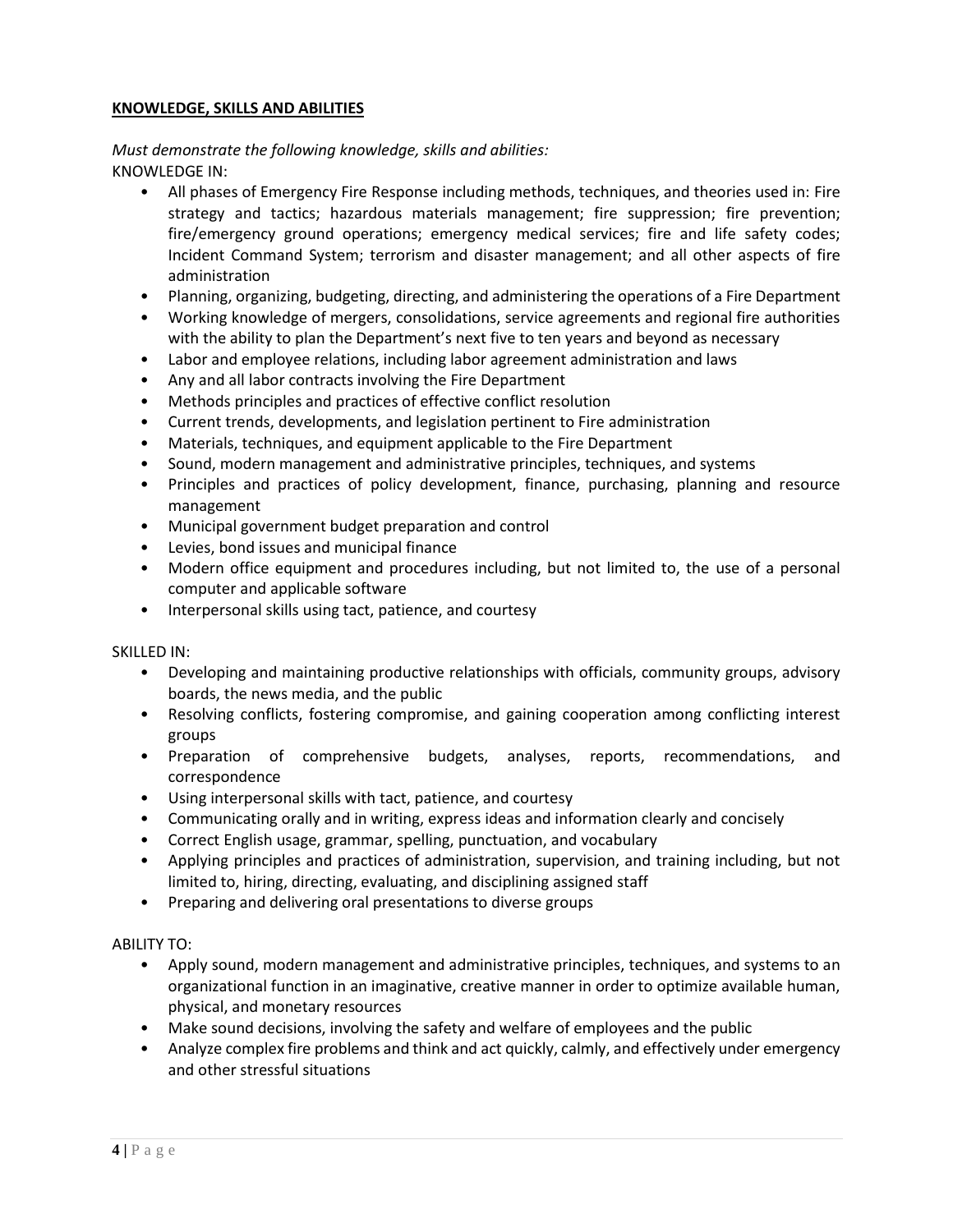# **KNOWLEDGE, SKILLS AND ABILITIES**

# *Must demonstrate the following knowledge, skills and abilities:*  KNOWLEDGE IN:

- All phases of Emergency Fire Response including methods, techniques, and theories used in: Fire strategy and tactics; hazardous materials management; fire suppression; fire prevention; fire/emergency ground operations; emergency medical services; fire and life safety codes; Incident Command System; terrorism and disaster management; and all other aspects of fire administration
- Planning, organizing, budgeting, directing, and administering the operations of a Fire Department
- Working knowledge of mergers, consolidations, service agreements and regional fire authorities with the ability to plan the Department's next five to ten years and beyond as necessary
- Labor and employee relations, including labor agreement administration and laws
- Any and all labor contracts involving the Fire Department
- Methods principles and practices of effective conflict resolution
- Current trends, developments, and legislation pertinent to Fire administration
- Materials, techniques, and equipment applicable to the Fire Department
- Sound, modern management and administrative principles, techniques, and systems
- Principles and practices of policy development, finance, purchasing, planning and resource management
- Municipal government budget preparation and control
- Levies, bond issues and municipal finance
- Modern office equipment and procedures including, but not limited to, the use of a personal computer and applicable software
- Interpersonal skills using tact, patience, and courtesy

## SKILLED IN:

- Developing and maintaining productive relationships with officials, community groups, advisory boards, the news media, and the public
- Resolving conflicts, fostering compromise, and gaining cooperation among conflicting interest groups
- Preparation of comprehensive budgets, analyses, reports, recommendations, and correspondence
- Using interpersonal skills with tact, patience, and courtesy
- Communicating orally and in writing, express ideas and information clearly and concisely
- Correct English usage, grammar, spelling, punctuation, and vocabulary
- Applying principles and practices of administration, supervision, and training including, but not limited to, hiring, directing, evaluating, and disciplining assigned staff
- Preparing and delivering oral presentations to diverse groups

## ABILITY TO:

- Apply sound, modern management and administrative principles, techniques, and systems to an organizational function in an imaginative, creative manner in order to optimize available human, physical, and monetary resources
- Make sound decisions, involving the safety and welfare of employees and the public
- Analyze complex fire problems and think and act quickly, calmly, and effectively under emergency and other stressful situations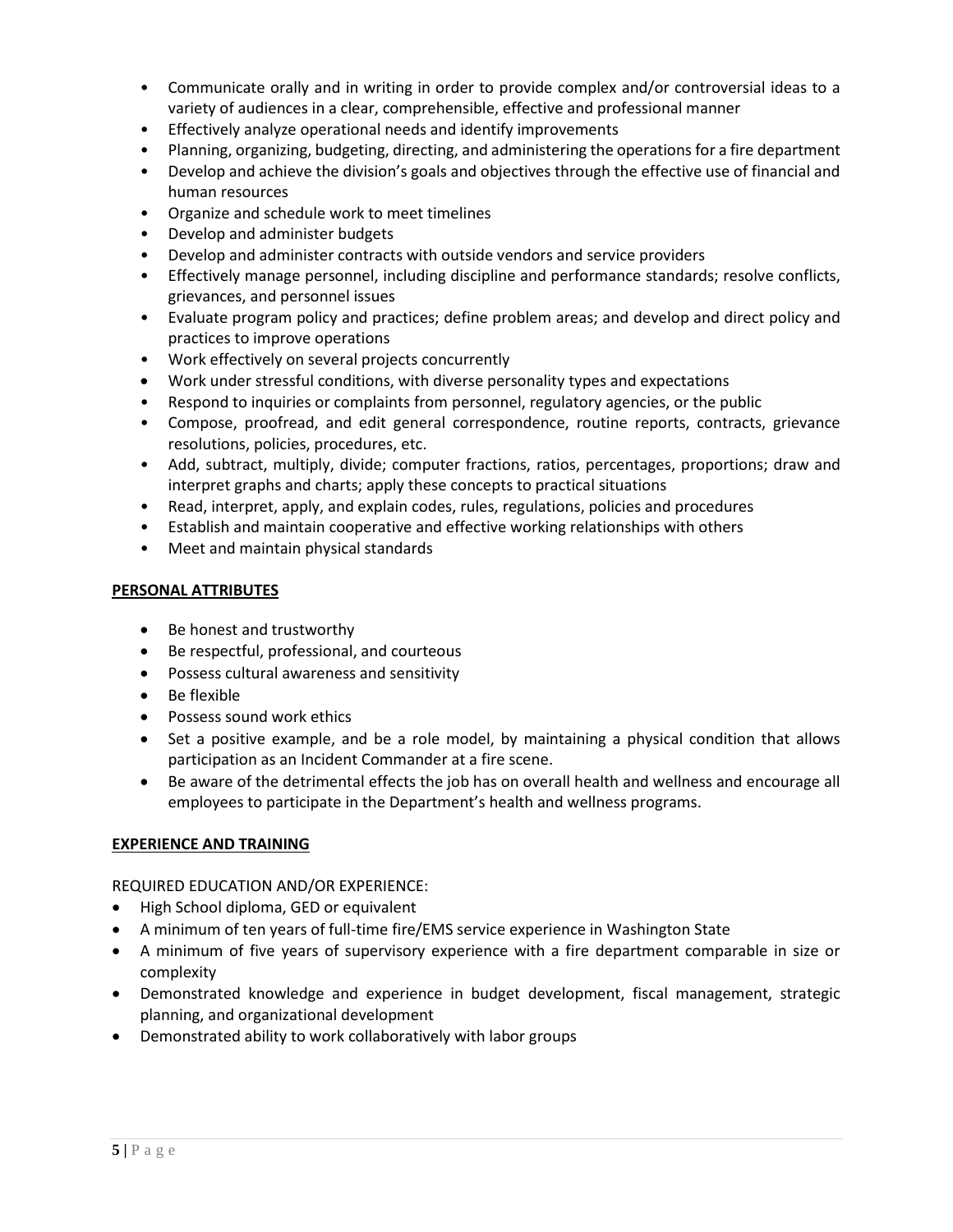- Communicate orally and in writing in order to provide complex and/or controversial ideas to a variety of audiences in a clear, comprehensible, effective and professional manner
- Effectively analyze operational needs and identify improvements
- Planning, organizing, budgeting, directing, and administering the operations for a fire department
- Develop and achieve the division's goals and objectives through the effective use of financial and human resources
- Organize and schedule work to meet timelines
- Develop and administer budgets
- Develop and administer contracts with outside vendors and service providers
- Effectively manage personnel, including discipline and performance standards; resolve conflicts, grievances, and personnel issues
- Evaluate program policy and practices; define problem areas; and develop and direct policy and practices to improve operations
- Work effectively on several projects concurrently
- Work under stressful conditions, with diverse personality types and expectations
- Respond to inquiries or complaints from personnel, regulatory agencies, or the public
- Compose, proofread, and edit general correspondence, routine reports, contracts, grievance resolutions, policies, procedures, etc.
- Add, subtract, multiply, divide; computer fractions, ratios, percentages, proportions; draw and interpret graphs and charts; apply these concepts to practical situations
- Read, interpret, apply, and explain codes, rules, regulations, policies and procedures
- Establish and maintain cooperative and effective working relationships with others
- Meet and maintain physical standards

## **PERSONAL ATTRIBUTES**

- Be honest and trustworthy
- Be respectful, professional, and courteous
- Possess cultural awareness and sensitivity
- Be flexible
- Possess sound work ethics
- Set a positive example, and be a role model, by maintaining a physical condition that allows participation as an Incident Commander at a fire scene.
- Be aware of the detrimental effects the job has on overall health and wellness and encourage all employees to participate in the Department's health and wellness programs.

## **EXPERIENCE AND TRAINING**

## REQUIRED EDUCATION AND/OR EXPERIENCE:

- High School diploma, GED or equivalent
- A minimum of ten years of full-time fire/EMS service experience in Washington State
- A minimum of five years of supervisory experience with a fire department comparable in size or complexity
- Demonstrated knowledge and experience in budget development, fiscal management, strategic planning, and organizational development
- Demonstrated ability to work collaboratively with labor groups